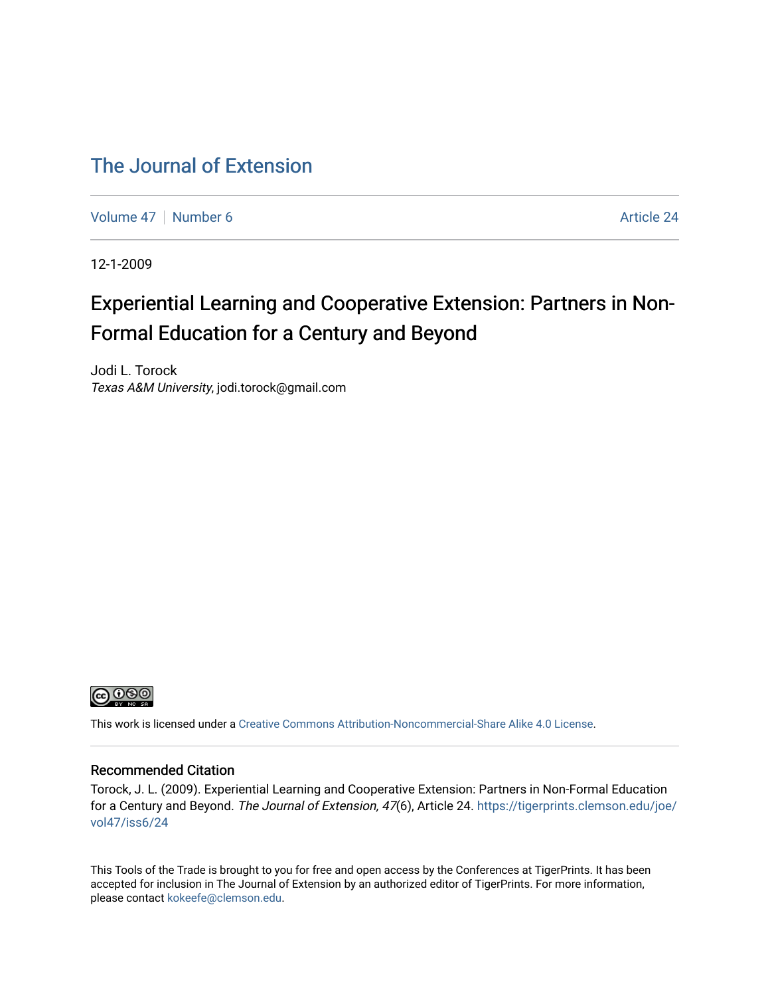### [The Journal of Extension](https://tigerprints.clemson.edu/joe)

[Volume 47](https://tigerprints.clemson.edu/joe/vol47) | [Number 6](https://tigerprints.clemson.edu/joe/vol47/iss6) Article 24

12-1-2009

# Experiential Learning and Cooperative Extension: Partners in Non-Formal Education for a Century and Beyond

Jodi L. Torock Texas A&M University, jodi.torock@gmail.com



This work is licensed under a [Creative Commons Attribution-Noncommercial-Share Alike 4.0 License.](https://creativecommons.org/licenses/by-nc-sa/4.0/)

#### Recommended Citation

Torock, J. L. (2009). Experiential Learning and Cooperative Extension: Partners in Non-Formal Education for a Century and Beyond. The Journal of Extension, 47(6), Article 24. [https://tigerprints.clemson.edu/joe/](https://tigerprints.clemson.edu/joe/vol47/iss6/24) [vol47/iss6/24](https://tigerprints.clemson.edu/joe/vol47/iss6/24) 

This Tools of the Trade is brought to you for free and open access by the Conferences at TigerPrints. It has been accepted for inclusion in The Journal of Extension by an authorized editor of TigerPrints. For more information, please contact [kokeefe@clemson.edu](mailto:kokeefe@clemson.edu).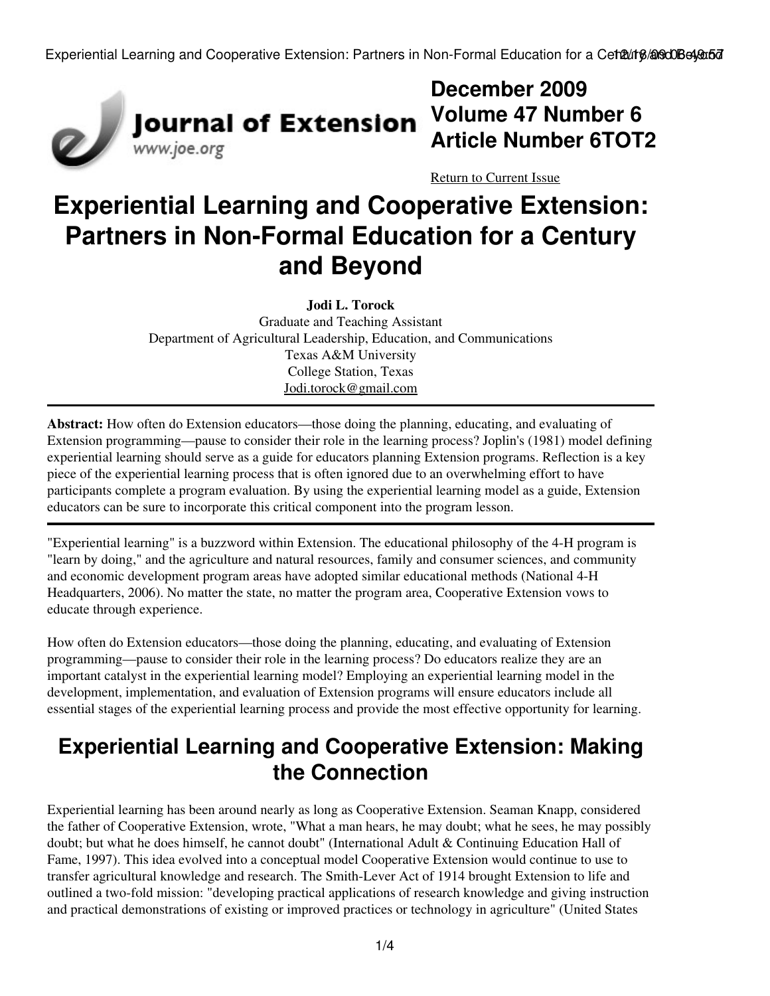

# **December 2009 Volume 47 Number 6 Article Number 6TOT2**

[Return to Current Issue](http://www.joe.org:80/joe/2009december/)

# **Experiential Learning and Cooperative Extension: Partners in Non-Formal Education for a Century and Beyond**

**Jodi L. Torock** Graduate and Teaching Assistant Department of Agricultural Leadership, Education, and Communications Texas A&M University College Station, Texas [Jodi.torock@gmail.com](mailto:Jodi.torock@gmail.com)

**Abstract:** How often do Extension educators—those doing the planning, educating, and evaluating of Extension programming—pause to consider their role in the learning process? Joplin's (1981) model defining experiential learning should serve as a guide for educators planning Extension programs. Reflection is a key piece of the experiential learning process that is often ignored due to an overwhelming effort to have participants complete a program evaluation. By using the experiential learning model as a guide, Extension educators can be sure to incorporate this critical component into the program lesson.

"Experiential learning" is a buzzword within Extension. The educational philosophy of the 4-H program is "learn by doing," and the agriculture and natural resources, family and consumer sciences, and community and economic development program areas have adopted similar educational methods (National 4-H Headquarters, 2006). No matter the state, no matter the program area, Cooperative Extension vows to educate through experience.

How often do Extension educators—those doing the planning, educating, and evaluating of Extension programming—pause to consider their role in the learning process? Do educators realize they are an important catalyst in the experiential learning model? Employing an experiential learning model in the development, implementation, and evaluation of Extension programs will ensure educators include all essential stages of the experiential learning process and provide the most effective opportunity for learning.

# **Experiential Learning and Cooperative Extension: Making the Connection**

Experiential learning has been around nearly as long as Cooperative Extension. Seaman Knapp, considered the father of Cooperative Extension, wrote, "What a man hears, he may doubt; what he sees, he may possibly doubt; but what he does himself, he cannot doubt" (International Adult & Continuing Education Hall of Fame, 1997). This idea evolved into a conceptual model Cooperative Extension would continue to use to transfer agricultural knowledge and research. The Smith-Lever Act of 1914 brought Extension to life and outlined a two-fold mission: "developing practical applications of research knowledge and giving instruction and practical demonstrations of existing or improved practices or technology in agriculture" (United States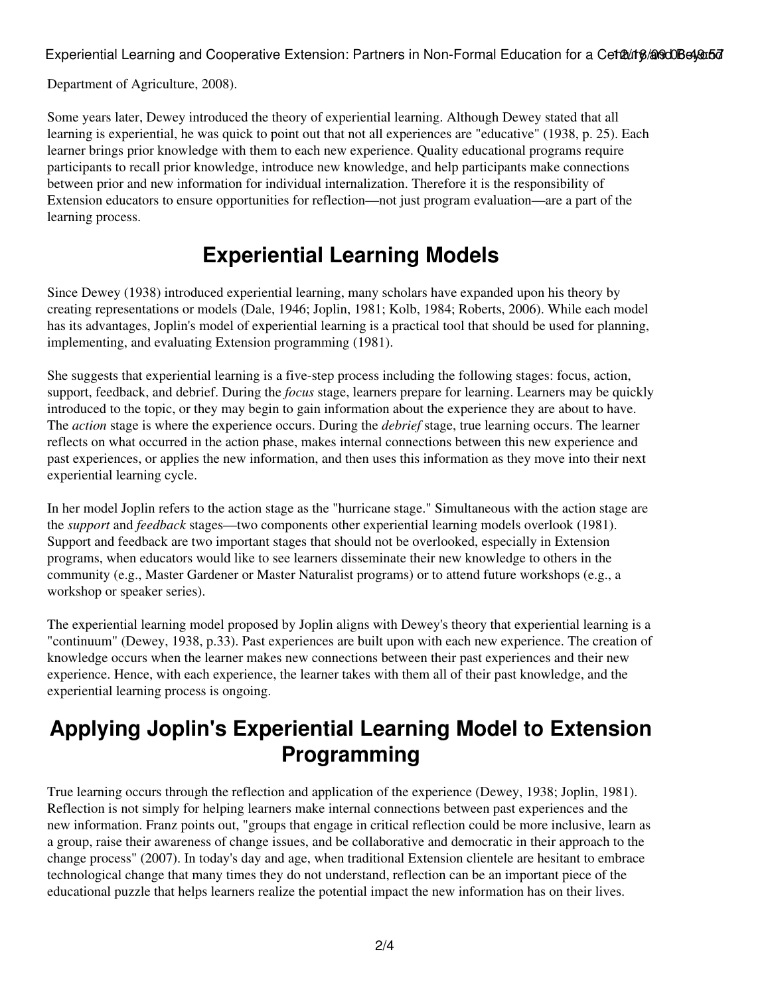Experiential Learning and Cooperative Extension: Partners in Non-Formal Education for a Cetult 8/2000 Beyond

Department of Agriculture, 2008).

Some years later, Dewey introduced the theory of experiential learning. Although Dewey stated that all learning is experiential, he was quick to point out that not all experiences are "educative" (1938, p. 25). Each learner brings prior knowledge with them to each new experience. Quality educational programs require participants to recall prior knowledge, introduce new knowledge, and help participants make connections between prior and new information for individual internalization. Therefore it is the responsibility of Extension educators to ensure opportunities for reflection—not just program evaluation—are a part of the learning process.

## **Experiential Learning Models**

Since Dewey (1938) introduced experiential learning, many scholars have expanded upon his theory by creating representations or models (Dale, 1946; Joplin, 1981; Kolb, 1984; Roberts, 2006). While each model has its advantages, Joplin's model of experiential learning is a practical tool that should be used for planning, implementing, and evaluating Extension programming (1981).

She suggests that experiential learning is a five-step process including the following stages: focus, action, support, feedback, and debrief. During the *focus* stage, learners prepare for learning. Learners may be quickly introduced to the topic, or they may begin to gain information about the experience they are about to have. The *action* stage is where the experience occurs. During the *debrief* stage, true learning occurs. The learner reflects on what occurred in the action phase, makes internal connections between this new experience and past experiences, or applies the new information, and then uses this information as they move into their next experiential learning cycle.

In her model Joplin refers to the action stage as the "hurricane stage." Simultaneous with the action stage are the *support* and *feedback* stages—two components other experiential learning models overlook (1981). Support and feedback are two important stages that should not be overlooked, especially in Extension programs, when educators would like to see learners disseminate their new knowledge to others in the community (e.g., Master Gardener or Master Naturalist programs) or to attend future workshops (e.g., a workshop or speaker series).

The experiential learning model proposed by Joplin aligns with Dewey's theory that experiential learning is a "continuum" (Dewey, 1938, p.33). Past experiences are built upon with each new experience. The creation of knowledge occurs when the learner makes new connections between their past experiences and their new experience. Hence, with each experience, the learner takes with them all of their past knowledge, and the experiential learning process is ongoing.

## **Applying Joplin's Experiential Learning Model to Extension Programming**

True learning occurs through the reflection and application of the experience (Dewey, 1938; Joplin, 1981). Reflection is not simply for helping learners make internal connections between past experiences and the new information. Franz points out, "groups that engage in critical reflection could be more inclusive, learn as a group, raise their awareness of change issues, and be collaborative and democratic in their approach to the change process" (2007). In today's day and age, when traditional Extension clientele are hesitant to embrace technological change that many times they do not understand, reflection can be an important piece of the educational puzzle that helps learners realize the potential impact the new information has on their lives.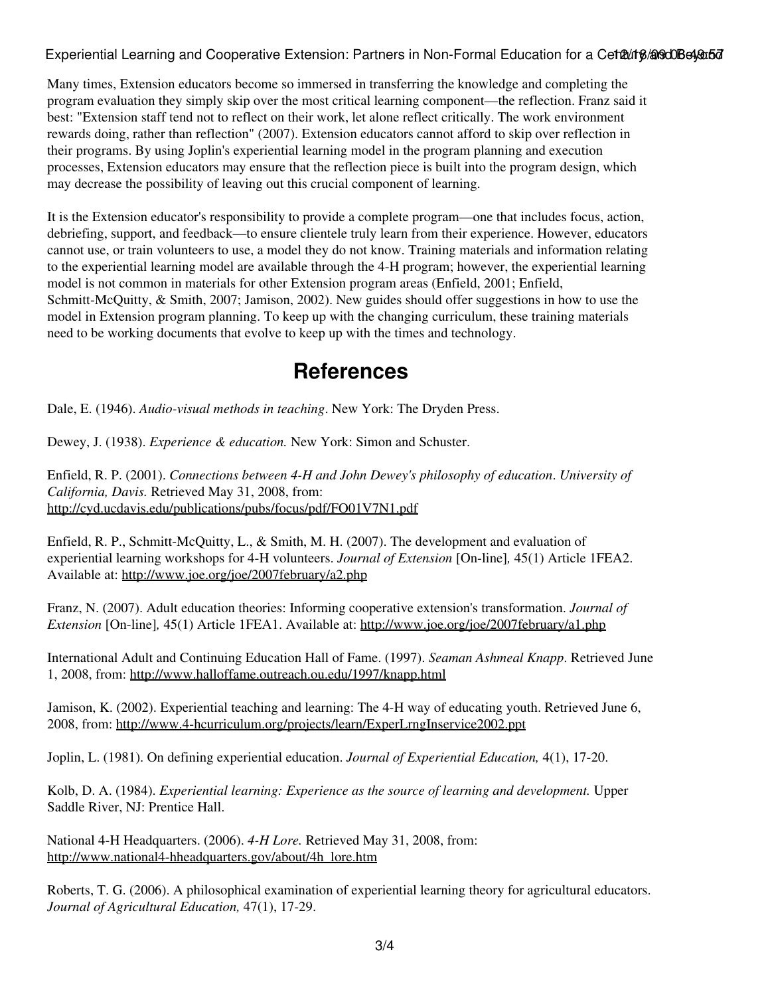Experiential Learning and Cooperative Extension: Partners in Non-Formal Education for a Cet20118/20300Be490507

Many times, Extension educators become so immersed in transferring the knowledge and completing the program evaluation they simply skip over the most critical learning component—the reflection. Franz said it best: "Extension staff tend not to reflect on their work, let alone reflect critically. The work environment rewards doing, rather than reflection" (2007). Extension educators cannot afford to skip over reflection in their programs. By using Joplin's experiential learning model in the program planning and execution processes, Extension educators may ensure that the reflection piece is built into the program design, which may decrease the possibility of leaving out this crucial component of learning.

It is the Extension educator's responsibility to provide a complete program—one that includes focus, action, debriefing, support, and feedback—to ensure clientele truly learn from their experience. However, educators cannot use, or train volunteers to use, a model they do not know. Training materials and information relating to the experiential learning model are available through the 4-H program; however, the experiential learning model is not common in materials for other Extension program areas (Enfield, 2001; Enfield, Schmitt-McQuitty, & Smith, 2007; Jamison, 2002). New guides should offer suggestions in how to use the model in Extension program planning. To keep up with the changing curriculum, these training materials need to be working documents that evolve to keep up with the times and technology.

### **References**

Dale, E. (1946). *Audio-visual methods in teaching*. New York: The Dryden Press.

Dewey, J. (1938). *Experience & education.* New York: Simon and Schuster.

Enfield, R. P. (2001). *Connections between 4-H and John Dewey's philosophy of education*. *University of California, Davis.* Retrieved May 31, 2008, from: <http://cyd.ucdavis.edu/publications/pubs/focus/pdf/FO01V7N1.pdf>

Enfield, R. P., Schmitt-McQuitty, L., & Smith, M. H. (2007). The development and evaluation of experiential learning workshops for 4-H volunteers. *Journal of Extension* [On-line]*,* 45(1) Article 1FEA2. Available at: <http://www.joe.org/joe/2007february/a2.php>

Franz, N. (2007). Adult education theories: Informing cooperative extension's transformation. *Journal of Extension* [On-line]*,* 45(1) Article 1FEA1. Available at: <http://www.joe.org/joe/2007february/a1.php>

International Adult and Continuing Education Hall of Fame. (1997). *Seaman Ashmeal Knapp*. Retrieved June 1, 2008, from:<http://www.halloffame.outreach.ou.edu/1997/knapp.html>

Jamison, K. (2002). Experiential teaching and learning: The 4-H way of educating youth. Retrieved June 6, 2008, from:<http://www.4-hcurriculum.org/projects/learn/ExperLrngInservice2002.ppt>

Joplin, L. (1981). On defining experiential education. *Journal of Experiential Education,* 4(1), 17-20.

Kolb, D. A. (1984). *Experiential learning: Experience as the source of learning and development.* Upper Saddle River, NJ: Prentice Hall.

National 4-H Headquarters. (2006). *4-H Lore.* Retrieved May 31, 2008, from: [http://www.national4-hheadquarters.gov/about/4h\\_lore.htm](http://www.national4-hheadquarters.gov/about/4h_lore.htm)

Roberts, T. G. (2006). A philosophical examination of experiential learning theory for agricultural educators. *Journal of Agricultural Education,* 47(1), 17-29.